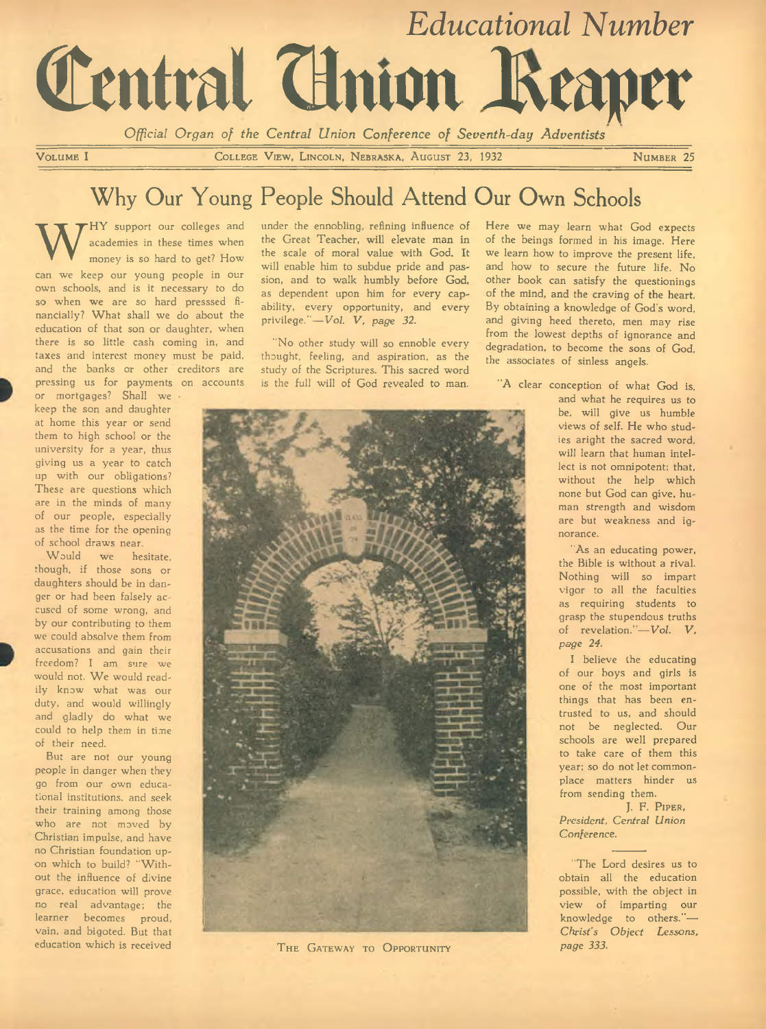

VOLUME I COLLEGE VIEW, LINCOLN, NEBRASKA, AUGUST 23, 1932 NUMBER 25

# Why Our Young People Should Attend Our Own Schools

W academies in these times when<br>money is so hard to get? How<br>can we keep our young people in our HY support our colleges and academies in these times when money is so hard to get? How own schools, and is it necessary to do so when we are so hard presssed financially? What shall we do about the education of that son or daughter, when there is so little cash coming in, and taxes and interest money must be paid, and the banks or other creditors are pressing us for payments on accounts

or mortgages? Shall we keep the son and daughter at home this year or send them to high school or the university for a year, thus giving us a year to catch up with our obligations? These are questions which are in the minds of many of our people, especially as the time for the opening of school draws near.

Would we hesitate. though, if those sons or daughters should be in danger or had been falsely accused of some wrong, and by our contributing to them we could absolve them from accusations and gain their freedom? I am sure we would not. We would readily know what was our duty, and would willingly and gladly do what we could to help them in time of their need.

But are not our young people in danger when they go from our own educational institutions, and seek their training among those who are not moved by Christian impulse, and have no Christian foundation upon which to build? "Without the influence of divine grace, education will prove no real advantage; the learner becomes proud, vain, and bigoted. But that education which is received

under the ennobling, refining influence of the Great Teacher, will elevate man in the scale of moral value with God. It will enable him to subdue pride and passion, and to walk humbly before God, as dependent upon him for every capability, every opportunity, and every privilege."-Vol. V, page 32.

"No other study will so ennoble every thought, feeling, and aspiration, as the study of the Scriptures. This sacred word is the full will of God revealed to man.



Here we may learn what God expects

"A clear conception of what God is,



THE GATEWAY TO OPPORTUNITY

and what he requires us to be, will give us humble views of self. He who studies aright the sacred word, will learn that human intellect is not omnipotent; that, without the help which none but God can give, human strength and wisdom are but weakness and ignorance.

"As an educating power, the Bible is without a rival. Nothing will so impart vigor to all the faculties as requiring students to grasp the stupendous truths of revelation."-Vol. V, *page* 24.

I believe the educating of our boys and girls is one of the most important things that has been entrusted to us, and should not be neglected. Our schools are well prepared to take care of them this year; so do not let commonplace matters hinder us from sending them.

J. F. PIPER, **President**, Central Union *C onference.*

"The Lord desires us to obtain all the education possible, with the object in view of imparting our knowledge to others."— *Christ's O bject Lessons, p ag e 333.*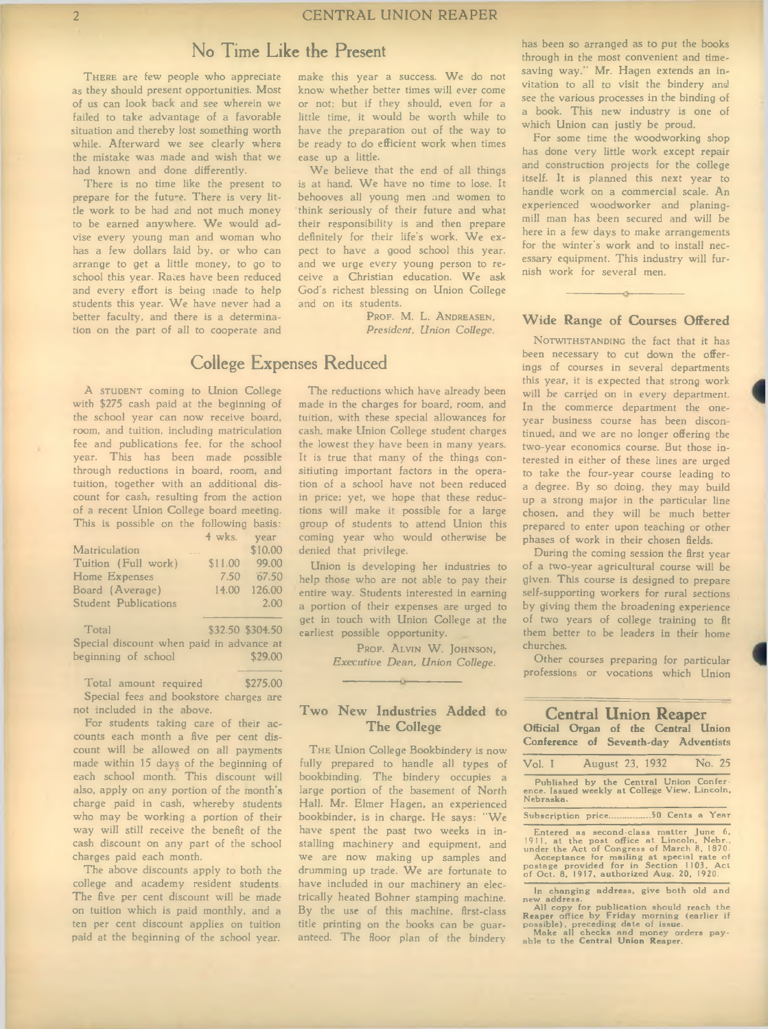### **No Time Like the Present**

THERE are few people who appreciate as they should present opportunities. Most of us can look back and see wherein we failed to take advantage of a favorable situation and thereby lost something worth while. Afterward we see clearly where the mistake was made and wish that we had known and done differently.

There is no time like the present to prepare for the future. There is very little work to be had and not much money to be earned anywhere. We would advise every young man and woman who has a few dollars laid by, or who can arrange to get a little money, to go to school this year. Rates have been reduced and every effort is being made to help students this year. We have never had a better faculty, and there is a determination on the part of all to cooperate and make this year a success. We do not know whether better times will ever come or not; but if they should, even for a little time, it would be worth while to have the preparation out of the way to be ready to do efficient work when times ease up a little.

We believe that the end of all things is at hand. We have no time to lose. It behooves all young men and women to 'think seriously of their future and what their responsibility is and then prepare definitely for their life's work. We expect to have a good school this year, and we urge every young person to receive a Christian education. We ask God's richest blessing on Union College and on its students.

> PROF. M. L. ANDREASEN. President, Union College.

### **College Expenses Reduced**

A STUDENT coming to Union College with \$275 cash paid at the beginning of the school year can now receive board, room, and tuition, including matriculation fee and publications fee, for the school year. This has been made possible through reductions in board, room, and tuition, together with an additional discount for cash, resulting from the action of a recent Union College board meeting. This is possible on the following basis: 4 wks. year Matriculation .... \$10.00 Tuition (Full work) \$11.00 99.00 Home Expenses 7.50 '67.50 Board (Average) 14.00 126.00 Student Publications 2.00

Total \$32.50 \$304.50 Special discount when paid in advance at<br>beginning of school \$29.00 beginning of school

Total amount required \$275.00 Special fees and bookstore charges are not included in the above.

For students taking care of their accounts each month a five per cent discount will be allowed on all payments made within 15 days of the beginning of each school month. This discount will also, apply on any portion of the month's charge paid in cash, whereby students who may be working a portion of their way will still receive the benefit of the cash discount on any part of the school charges paid each month.

The above discounts apply to both the college and academy resident students. The five per cent discount will be made on tuition which is paid monthly, and a ten per cent discount applies on tuition paid at the beginning of the school year.

The reductions which have already been made in the charges for board, room, and tuition, with these special allowances for cash, make Union College student charges the lowest they have been in many years. It is true that many of the things consitiuting important factors in the operation of a school have not been reduced in price; yet, we hope that these reductions will make it possible for a large group of students to attend Union this coming year who would otherwise be denied that privilege.

Union is developing her industries to help those who are not able to pay their entire way. Students interested in earning a portion of their expenses are urged to get in touch with Union College at the earliest possible opportunity.

> PROF. ALVIN W. JOHNSON, *Executive Dean, Union College.*

### **Two New Industries Added to The College**

 $\overline{\phantom{a}}$ 

THE Union College Bookbindery is now fully prepared to handle all types of bookbinding. The bindery occupies a large portion of the basement of North Hall. Mr. Elmer Hagen, an experienced bookbinder, is in charge. He says: "We have spent the past two weeks in installing machinery and equipment, and we are now making up samples and drumming up trade. We are fortunate to have included in our machinery an electrically heated Bohner stamping machine. By the use of this machine, first-class title printing on the books can be guaranteed. The floor plan of the bindery

has been so arranged as to put the books through in the most convenient and timesaving way." Mr. Hagen extends an invitation to all to visit the bindery and see the various processes in the binding of a book. This new industry is one of which Union can justly be proud.

For some time the woodworking shop has done very little work except repair and construction projects for the college itself. It is planned this next year to handle work on a commercial scale. An experienced woodworker and planingmill man has been secured and will be here in a few days to make arrangements for the winter's work and to install necessary equipment. This industry will furnish work for several men.

### **Wide Range of Courses Offered**

NOTWITHSTANDING the fact that it has been necessary to cut down the offerings of courses in several departments this year, it is expected that strong work will be carried on in every department. In the commerce department the oneyear business course has been discontinued, and we are no longer offering the two-year economics course. But those interested in either of these lines are urged to take the four-year course leading to a degree. By so doing, they may build up a strong major in the particular line chosen, and they will be much better prepared to enter upon teaching or other phases of work in their chosen fields.

During the coming session the first year of a two-year agricultural course will be given. This course is designed to prepare self-supporting workers for rural sections by giving them the broadening experience of two years of college training to fit them better to be leaders in their home churches.

Other courses preparing for particular professions or vocations which Union

#### **Central Union Reaper Official Organ of the Central Union Conference of Seventh-day Adventists**

| Vol. I                                                                                                                                                                                                                                                                       | August 23, 1932 | No. 25 |
|------------------------------------------------------------------------------------------------------------------------------------------------------------------------------------------------------------------------------------------------------------------------------|-----------------|--------|
| Published by the Central Union Confer-<br>ence. Issued weekly at College View, Lincoln,<br>Nebraska.                                                                                                                                                                         |                 |        |
| Subscription price50 Cents a Year                                                                                                                                                                                                                                            |                 |        |
| Entered as second-class matter June 6,<br>1911, at the post office at Lincoln, Nebr.,<br>under the Act of Congress of March 8, 1870.<br>Acceptance for mailing at special rate of<br>postage provided for in Section 1103. Act<br>of Oct. 8, 1917, authorized Aug. 20, 1920. |                 |        |

In changing address, give both old and<br>new address.<br>All copy for publication should reach the<br>Reaper office by Friday morning (earlier if<br>possible), preceding date of issue.<br>Make all checks and money orders pay-<br>able to th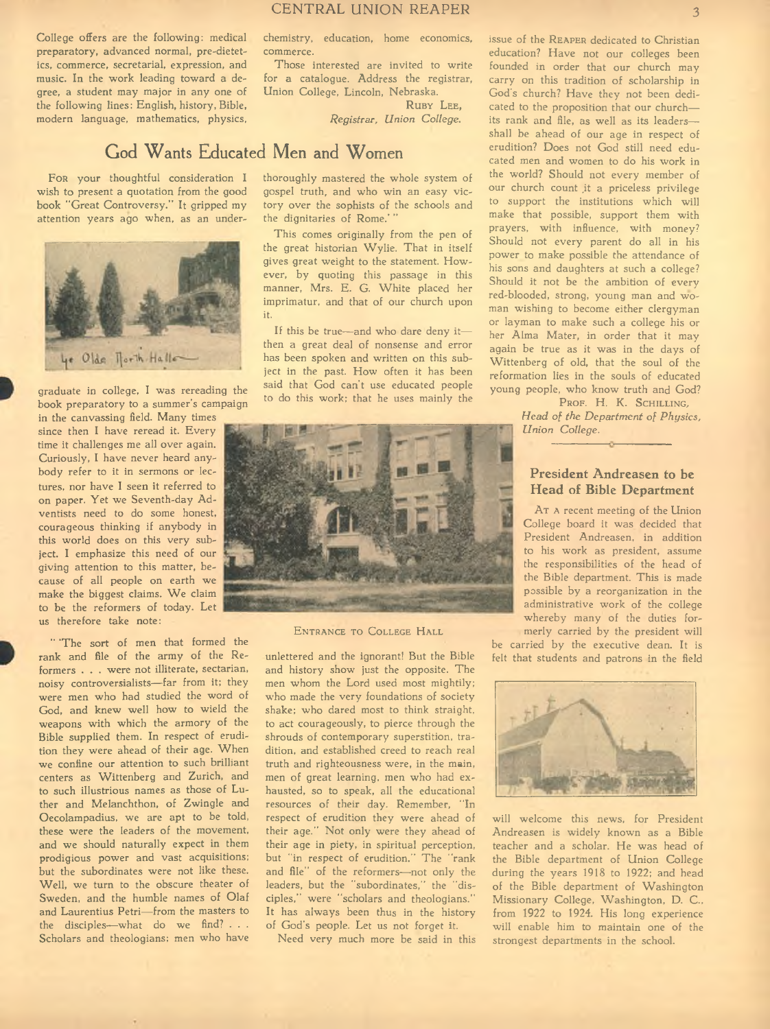College offers are the following: medical preparatory, advanced normal, pre-dietetics, commerce, secretarial, expression, and music. In the work leading toward a degree, a student may major in any one of the following lines: English, history, Bible, modern language, mathematics, physics,

FOR your thoughtful consideration I wish to present a quotation from the good book "Great Controversy." It gripped my attention years ago when, as an under-



graduate in college, I was rereading the book preparatory to a summer's campaign in the canvassing field. Many times

since then I have reread it. Every time it challenges me all over again. Curiously, I have never heard anybody refer to it in sermons or lectures, nor have I seen it referred to on paper. Yet we Seventh-day Adventists need to do some honest, courageous thinking if anybody in this world does on this very subject. I emphasize this need of our giving attention to this matter, because of all people on earth we make the biggest claims. We claim to be the reformers of today. Let us therefore take note:

" 'The sort of men that formed the rank and file of the army of the Reformers . . . were not illiterate, sectarian, noisy controversialists— far from it; they were men who had studied the word of God, and knew well how to wield the weapons with which the armory of the Bible supplied them. In respect of erudition they were ahead of their age. When we confine our attention to such brilliant centers as Wittenberg and Zurich, and to such illustrious names as those of Luther and Melanchthon, of Zwingle and Oecolampadius, we are apt to be told, these were the leaders of the movement, and we should naturally expect in them prodigious power and vast acquisitions; but the subordinates were not like these. Well, we turn to the obscure theater of Sweden, and the humble names of Olaf and Laurentius Petri— from the masters to the disciples— what do we find? . . . Scholars and theologians; men who have chemistry, education, home economics, commerce.

Those interested are invited to write for a catalogue. Address the registrar, Union College, Lincoln, Nebraska. RUBY LEE.

*R egistrar, Union C ollege.*

## **God Wants Educated Men and Women**

thoroughly mastered the whole system of gospel truth, and who win an easy victory over the sophists of the schools and the dignitaries of Rome.' "

This comes originally from the pen of the great historian Wylie. That in itself gives great weight to the statement. However, by quoting this passage in this manner, Mrs. E. G. White placed her imprimatur, and that of our church upon it.

If this be true— and who dare deny it then a great deal of nonsense and error has been spoken and written on this subject in the past. How often it has been said that God can't use educated people to do this work; that he uses mainly the



ENTRANCE TO COLLEGE HALL

unlettered and the ignorant! But the Bible and history show just the opposite. The men whom the Lord used most mightily; who made the very foundations of society shake; who dared most to think straight, to act courageously, to pierce through the shrouds of contemporary superstition, tradition, and established creed to reach real truth and righteousness were, in the main, men of great learning, men who had exhausted, so to speak, all the educational resources of their day. Remember, "In respect of erudition they were ahead of their age." Not only were they ahead of their age in piety, in spiritual perception, but "in respect of erudition." The "rank and file" of the reformers— not only the leaders, but the "subordinates," the "disciples," were "scholars and theologians." It has always been thus in the history of God's people. Let us not forget it.

Need very much more be said in this

issue of the REAPER dedicated to Christian education? Have not our colleges been founded in order that our church may carry on this tradition of scholarship in God's church? Have they not been dedicated to the proposition that our church its rank and file, as well as its leaders shall be ahead of our age in respect of erudition? Does not God still need educated men and women to do his work in the world? Should not every member of our church count it a priceless privilege to support the institutions which will make that possible, support them with prayers, with influence, with money? Should not every parent do all in his power to make possible the attendance of his sons and daughters at such a college? Should it not be the ambition of every red-blooded, strong, young man and woman wishing to become either clergyman or layman to make such a college his or her Alma Mater, in order that it may again be true as it was in the days of Wittenberg of old, that the soul of the reformation lies in the souls of educated young people, who know truth and God?

> PROF. H. K. SCHILLING. Head of the Department of Physics, *<u>Union</u>* College.

### **President Andreasen to be Head of Bible Department**

AT A recent meeting of the Union College board it was decided that President Andreasen, in addition to his work as president, assume the responsibilities of the head of the Bible department. This is made possible by a reorganization in the administrative work of the college whereby many of the duties formerly carried by the president will

be carried by the executive dean. It is felt that students and patrons in the field



will welcome this news, for President Andreasen is widely known as a Bible teacher and a scholar. He was head of the Bible department of Union College during the years 1918 to 1922; and head of the Bible department of Washington Missionary College, Washington, D. C., from 1922 to 1924. His long experience will enable him to maintain one of the strongest departments in the school.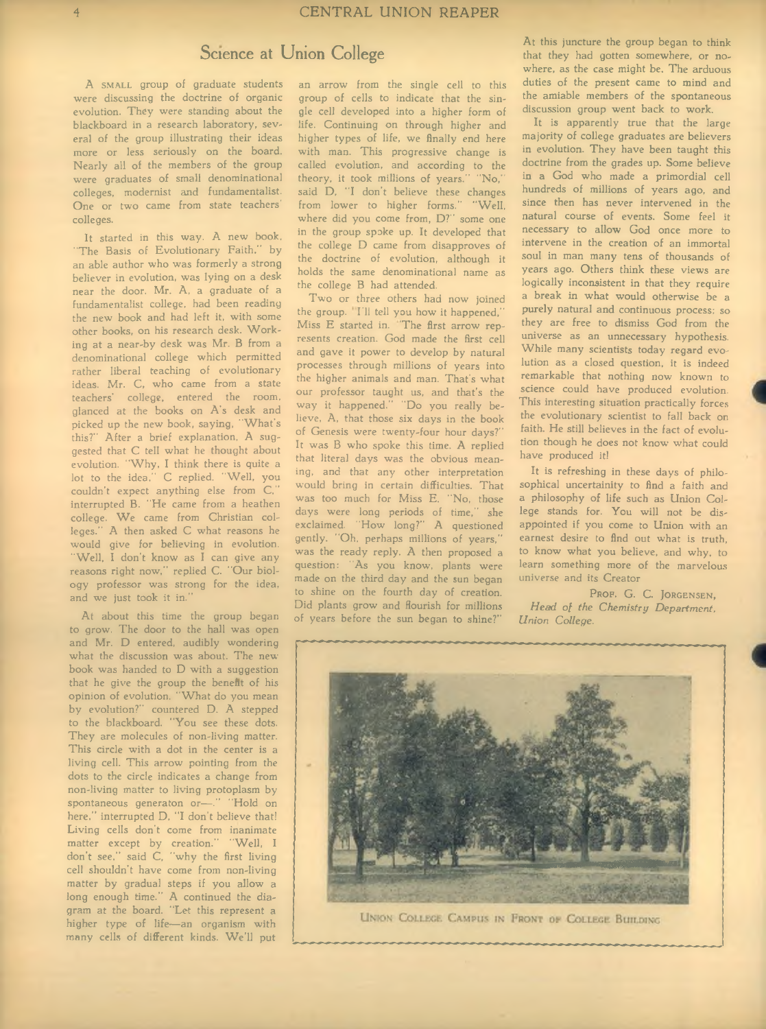### **Science at Union College**

A SMALL group of graduate students were discussing the doctrine of organic evolution. They were standing about the blackboard in a research laboratory, several of the group illustrating their ideas more or less seriously on the board. Nearly all of the members of the group were graduates of small denominational colleges, modernist and fundamentalist. One or two came from state teachers' colleges.

It started in this way. A new book, "The Basis of Evolutionary Faith," by an able author who was formerly a strong believer in evolution, was lying on a desk near the door. Mr. A, a graduate of a fundamentalist college, had been reading the new book and had left it, with some other books, on his research desk. Working at a near-by desk was Mr. B from a denominational college which permitted rather liberal teaching of evolutionary ideas. Mr. C, who came from a state teachers' college, entered the room, glanced at the books on A's desk and picked up the new book, saying, "What's this?" After a brief explanation, A suggested that C tell what he thought about evolution. "Why, I think there is quite a lot to the idea." C replied. "Well, you couldn't expect anything else from C, interrupted B. "He came from a heathen college. We came from Christian colleges." A then asked C what reasons he would give for believing in evolution. "Well, I don't know as I can give any reasons right now," replied C. "Our biology professor was strong for the idea, and we just took it in."

At about this time the group began to grow. The door to the hall was open and Mr. D entered, audibly wondering what the discussion was about. The newbook was handed to D with a suggestion that he give the group the benefit of his opinion of evolution. "What do you mean by evolution?" countered D. A stepped to the blackboard. "You see these dots. They are molecules of non-living matter. This circle with a dot in the center is a living cell. This arrow pointing from the dots to the circle indicates a change from non-living matter to living protoplasm by spontaneous generaton or-." "Hold on here," interrupted D, "I don't believe that! Living cells don't come from inanimate matter except by creation." "Well, I don't see," said C, "why the first living cell shouldn't have come from non-living matter by gradual steps if you allow a long enough time." A continued the diagram at the board. "Let this represent a higher type of life— an organism with many cells of different kinds. We'll put

an arrow from the single cell to this group of cells to indicate that the single cell developed into a higher form of life. Continuing on through higher and higher types of life, we finally end here with man. This progressive change is called evolution, and according to the<br>theory, it took millions of years." "No." theory, it took millions of years." said D, "I don't believe these changes from lower to higher forms." "Well, where did you come from, D?" some one in the group spoke up. It developed that the college D came from disapproves of the doctrine of evolution, although it holds the same denominational name as the college B had attended.

Two or three others had now joined the group. Til tell you how it happened,' Miss E started in. "The first arrow represents creation. God made the first cell and gave it power to develop by natural processes through millions of years into the higher animals and man. That's what our professor taught us, and that's the way it happened." "Do you really believe, A, that those six days in the book of Genesis were twenty-four hour days?" It was B who spoke this time. A replied that literal days was the obvious meaning, and that any other interpretation would bring in certain difficulties. That was too much for Miss E. "No, those days were long periods of time," she exclaimed. "How long?" A questioned gently. "Oh, perhaps millions of years," was the ready reply. A then proposed a question: "As you know, plants were made on the third day and the sun began to shine on the fourth day of creation. Did plants grow and flourish for millions of years before the sun began to shine?"

At this juncture the group began to think that they had gotten somewhere, or nowhere, as the case might be. The arduous duties of the present came to mind and the amiable members of the spontaneous discussion group went back to work.

It is apparently true that the large majority of college graduates are believers in evolution. They have been taught this doctrine from the grades up. Some believe in a God who made a primordial cell hundreds of millions of years ago, and since then has never intervened in the natural course of events. Some feel it necessary to allow God once more to intervene in the creation of an immortal soul in man many tens of thousands of years ago. Others think these views are logically inconsistent in that they require a break in what would otherwise be a purely natural and continuous process; so they are free to dismiss God from the universe as an unnecessary hypothesis. While many scientists today regard evolution as a closed question, it is indeed remarkable that nothing now known to science could have produced evolution. This interesting situation practically forces the evolutionary scientist to fall back on faith. He still believes in the fact of evolution though he does not know- what could have produced it!

It is refreshing in these days of philosophical uncertainity to find a faith and a philosophy of life such as Union College stands for. You will not be disappointed if you come to Union with an earnest desire to find out what is truth, to know what you believe, and why, to learn something more of the marvelous universe and its Creator

PROF. G. C. JORGENSEN, Head of the Chemistry Department, *Union C ollege.*



UNION COLLEGE CAMPUS IN FRONT OF COLLEGE BUILDING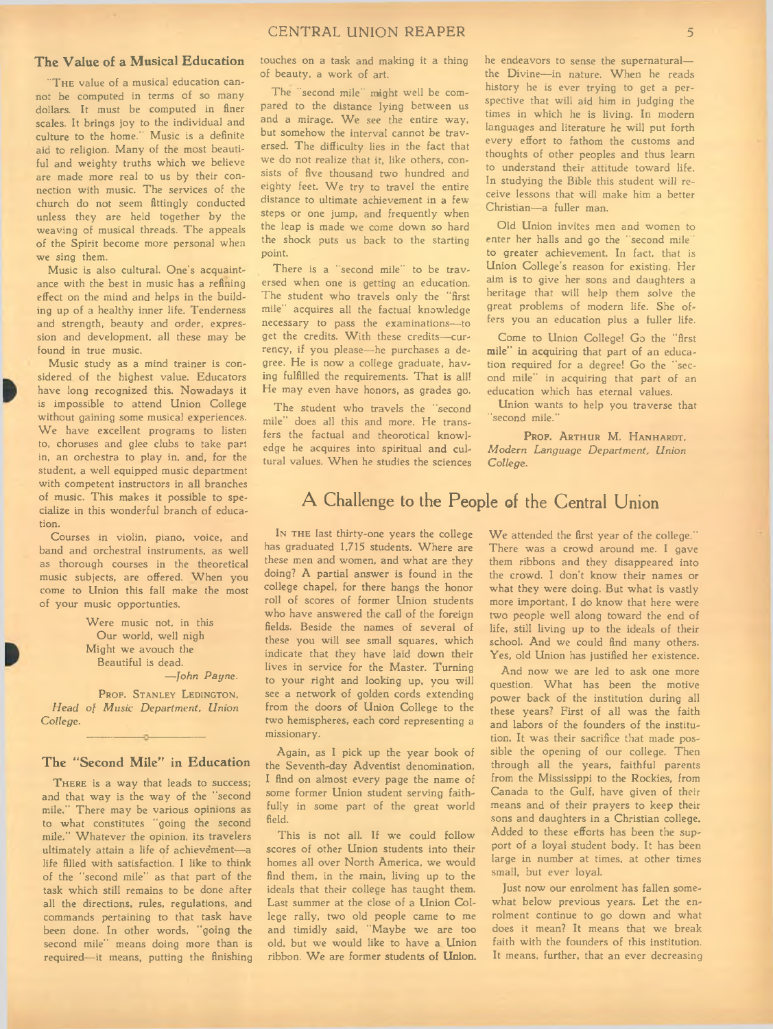### **The Value of a Musical Education**

THE value of a musical education cannot be computed in terms of so many dollars. It must be computed in finer scales. It brings joy to the individual and culture to the home." Music is a definite aid to religion. Many of the most beautiful and weighty truths which we believe are made more real to us by their connection with music. The services of the church do not seem fittingly conducted unless they are held together by the weaving of musical threads. The appeals of the Spirit become more personal when we sing them.

Music is also cultural. One's acquaintance with the best in music has a refining effect on the mind and helps in the building up of a healthy inner life. Tenderness and strength, beauty and order, expression and development, all these may be found in true music.

Music study as a mind trainer is considered of the highest value. Educators have long recognized this. Nowadays it is impossible to attend Union College without gaining some musical experiences. We have excellent programs to listen to, choruses and glee clubs to take part in, an orchestra to play in, and, for the student, a well equipped music department with competent instructors in all branches of music. This makes it possible to specialize in this wonderful branch of education.

Courses in violin, piano, voice, and band and orchestral instruments, as well as thorough courses in the theoretical music subjects, are offered. When you come to Union this fall make the most of your music opportunties.

> Were music not, in this Our world, well nigh Might we avouch the Beautiful is dead. *— John P ayne.*

PROF. STANLEY LEDINGTON, Head of Music Department, Union *C ollege.*

### **The "Second Mile" in Education**

 $\sim$ 

THERE is a way that leads to success; and that way is the way of the "second mile." There may be various opinions as to what constitutes "going the second mile." Whatever the opinion, its travelers ultimately attain a life of achievement-a life filled with satisfaction. I like to think of the "second mile" as that part of the task which still remains to be done after all the directions, rules, regulations, and commands pertaining to that task have been done. In other words, "going the second mile" means doing more than is required—it means, putting the finishing

touches on a task and making it a thing of beauty, a work of art.

The "second mile" might well be compared to the distance lying between us and a mirage. We see the entire way, but somehow the interval cannot be traversed. The difficulty lies in the fact that we do not realize that it, like others, consists of five thousand two hundred and eighty feet. We try to travel the entire distance to ultimate achievement in a few steps or one jump, and frequently when the leap is made we come down so hard the shock puts us back to the starting point.

There is a "second mile" to be traversed when one is getting an education. The student who travels only the "first mile" acquires all the factual knowledge necessary to pass the examinations— to get the credits. With these credits-currency, if you please— he purchases a degree. He is now a college graduate, having fulfilled the requirements. That is all! He may even have honors, as grades go.

The student who travels the "second mile" does all this and more. He transfers the factual and theorotical knowledge he acquires into spiritual and cultural values. W hen he studies the sciences he endeavors to sense the supernatural the Divine-in nature. When he reads history he is ever trying to get a perspective that will aid him in judging the times in which he is living. In modern languages and literature he will put forth every effort to fathom the customs and thoughts of other peoples and thus learn to understand their attitude toward life. In studying the Bible this student will receive lessons that will make him a better Christian—a fuller man.

Old Union invites men and women to enter her halls and go the "second mile" to greater achievement. In fact, that is Union College's reason for existing. Her aim is to give her sons and daughters a heritage that will help them solve the great problems of modern life. She offers you an education plus a fuller life.

Come to Union College! Go the "first mile" in acquiring that part of an education required for a degree! Go the "second mile" in acquiring that part of an education which has eternal values.

Union wants to help you traverse that second mile.'

PROF. ARTHUR M. HANHARDT. *Modern Language Department, Union C ollege.*

## **A Challenge to the People of the Central Union**

IN THE last thirty-one years the college has graduated 1,715 students. Where are these men and women, and what are they doing? A partial answer is found in the college chapel, for there hangs the honor roll of scores of former Union students who have answered the call of the foreign fields. Beside the names of several of these you will see small squares, which indicate that they have laid down their lives in service for the Master. Turning to your right and looking up, you will see a network of golden cords extending from the doors of Union College to the two hemispheres, each cord representing a missionary.

Again, as I pick up the year book of the Seventh-day Adventist denomination, I find on almost every page the name of some former Union student serving faithfully in some part of the great world field.

This is not all. If we could follow scores of other Union students into their homes all over North America, we would find them, in the main, living up to the ideals that their college has taught them. Last summer at the close of a Union College rally, two old people came to me and timidly said, "Maybe we are too old, but we would like to have a Union ribbon. We are former students of Union. We attended the first year of the college." There was a crowd around me. I gave them ribbons and they disappeared into the crowd. I don't know their names or what they were doing. But what is vastly more important, I do know that here were two people well along toward the end of life, still living up to the ideals of their school. And we could find many others. Yes, old Union has justified her existence.

And now we are led to ask one more question. What has been the motive power back of the institution during all these years? First of all was the faith and labors of the founders of the institution. It was their sacrifice that made possible the opening of our college. Then through all the years, faithful parents from the Mississippi to the Rockies, from Canada to the Gulf, have given of their means and of their prayers to keep their sons and daughters in a Christian college. Added to these efforts has been the support of a loyal student body. It has been large in number at times, at other times small, but ever loyal.

Just now our enrolment has fallen somewhat below previous years. Let the enrolment continue to go down and what does it mean? It means that we break faith with the founders of this institution. It means, further, that an ever decreasing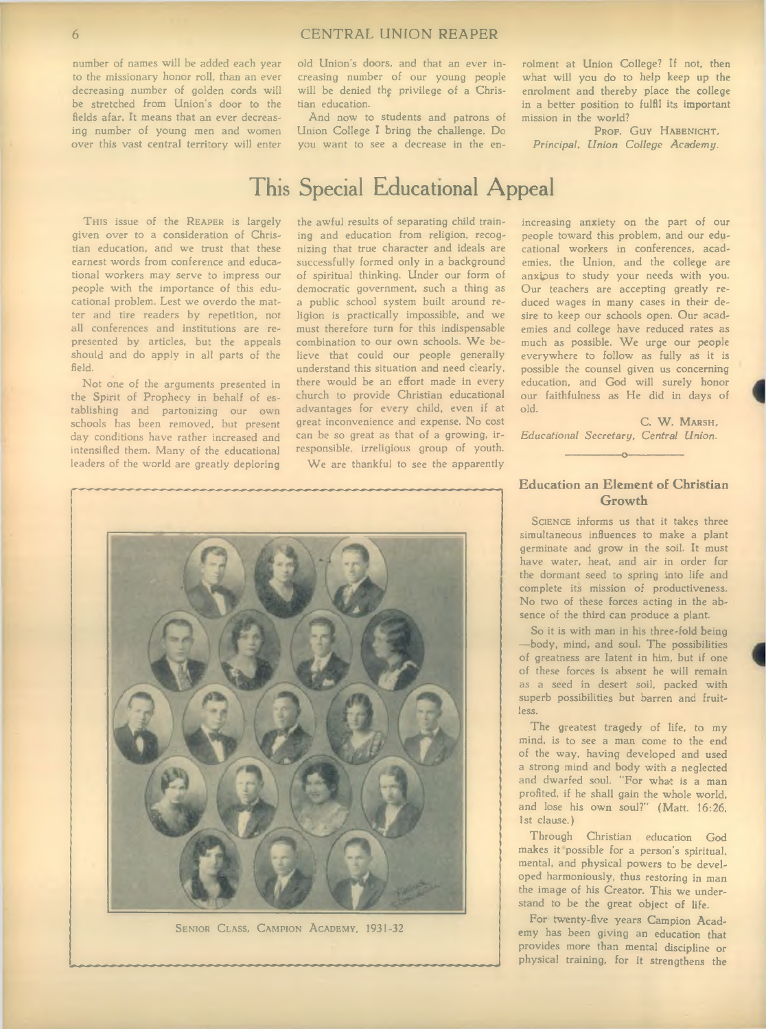number of names will be added each year to the missionary honor roll, than an ever decreasing number of golden cords will be stretched from Union's door to the fields afar. It means that an ever decreasing number of young men and women over this vast central territory will enter

old Union's doors, and that an ever increasing number of our young people will be denied the privilege of a Christian education.

And now to students and patrons of Union College I bring the challenge. Do you want to see a decrease in the enrolment at Union College? If not, then what will you do to help keep up the enrolment and thereby place the college in a better position to fulfil its important mission in the world?

PROF. GUY HABENICHT, Principal, *Union College Academy*.

# This Special Educational Appeal

THIS issue of the REAPER is largely given over to a consideration of Christian education, and we trust that these earnest words from conference and educational workers may serve to impress our people with the importance of this educational problem. Lest we overdo the matter and tire readers by repetition, not all conferences and institutions are represented by articles, but the appeals should and do apply in all parts of the field.

Not one of the arguments presented in the Spirit of Prophecy in behalf of establishing and partonizing our own schools has been removed, but present day conditions have rather increased and intensified them. Many of the educational leaders of the world are greatly deploring

the awful results of separating child training and education from religion, recognizing that true character and ideals are successfully formed only in a background of spiritual thinking. Under our form of democratic government, such a thing as a public school system built around religion is practically impossible, and we must therefore turn for this indispensable combination to our own schools. We believe that could our people generally understand this situation and need clearly, there would be an effort made in every church to provide Christian educational advantages for every child, even if at great inconvenience and expense. No cost can be so great as that of a growing, irresponsible, irreligious group of youth.

We are thankful to see the apparently

increasing anxiety on the part of our people toward this problem, and our educational workers in conferences, academies, the Union, and the college are anxipus to study your needs with you. Our teachers are accepting greatly reduced wages in many cases in their desire to keep our schools open. Our academies and college have reduced rates as much as possible. We urge our people everywhere to follow as fully as it is possible the counsel given us concerning education, and God will surely honor our faithfulness as He did in days of old.

C. W. MARSH, *E ducational Secretary, C entral Union.* -----------------o-----------------



SENIOR CLASS, CAMPION ACADEMY, 1931-32

### **Education an Element of Christian Growth**

SCIENCE informs us that it takes three simultaneous influences to make a plant germinate and grow in the soil. It must have water, heat, and air in order for the dormant seed to spring into life and complete its mission of productiveness. No two of these forces acting in the absence of the third can produce a plant.

So it is with man in his three-fold being — body, mind, and soul. The possibilities of greatness are latent in him, but if one of these forces is absent he will remain as a seed in desert soil, packed with superb possibilities but barren and fruitless.

.The greatest tragedy of life, to my mind, is to see a man come to the end of the way, having developed and used a strong mind and body with a neglected and dwarfed soul. "For what is a man profited, if he shall gain the whole world, and lose his own soul?" (Matt. 16:26, 1st clause.)

Through Christian education God makes it possible for a person's spiritual, mental, and physical powers to be developed harmoniously, thus restoring in man the image of his Creator. This we understand to be the great object of life.

For twenty-five years Campion Academy has been giving an education that provides more than mental discipline or physical training, for it strengthens the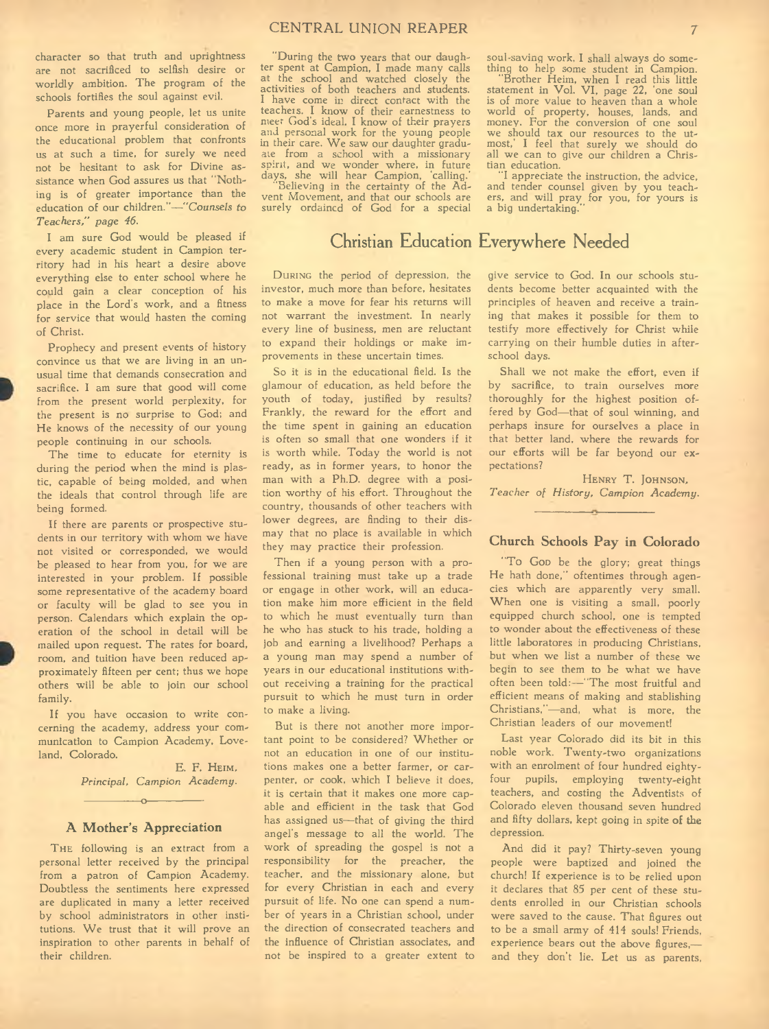character so that truth and uprightness are not sacrificed to selfish desire or worldly ambition. The program of the schools fortifies the soul against evil.

Parents and young people, let us unite once more in prayerful consideration of the educational problem that confronts us at such a time, for surely we need not be hesitant to ask for Divine assistance when God assures us that "Nothing is of greater importance than the education of our children."— *"Counsels to* Teachers," page 46.

I am sure God would be pleased if every academic student in Campion territory had in his heart a desire above everything else to enter school where he could gain a clear conception of his place in the Lord's work, and a fitness for service that would hasten the coming of Christ.

Prophecy and present events of history convince us that we are living in an unusual time that demands consecration and sacrifice. I am sure that good will come from the present world perplexity, for the present is no surprise to God; and He knows of the necessity of our young people continuing in our schools.

The time to educate for eternity is during the period when the mind is plastic, capable of being molded, and when the ideals that control through life are being formed.

If there are parents or prospective students in our territory with whom we have not visited or corresponded, we would be pleased to hear from you, for we are interested in your problem. If possible some representative of the academy board or faculty will be glad to see you in person. Calendars which explain the operation of the school in detail will be mailed upon request. The rates for board, room, and tuition have been reduced approximately fifteen per cent; thus we hope others will be able to join our school family.

If you have occasion to write concerning the academy, address your communication to Campion Academy, Loveland, Colorado.

> E. F. HEIM. *Principal, Campion Academy.* -----------------o-----------------

### **A Mother's Appreciation**

THE following is an extract from a personal letter received by the principal from a patron of Campion Academy. Doubtless the sentiments here expressed are duplicated in many a letter received by school administrators in other institutions. We trust that it will prove an inspiration to other parents in behalf of their children.

"During the two years that our daughter spent at Campion, I made many calls at the school and watched closely the activities of both teachers and students. I have come in direct contact with the teacheis. I know of their earnestness to meet Cod's ideal. I know of their prayers and personal work for the young people in their care. We saw our daughter graduate from a school with a missionary spirit, and we wonder where, in future days, she will hear Campion, 'calling.'

"Believing in the certainty of the Advent Movement, and that our schools are surely ordained of God for a special soul-saving work. I shall always do something to help some student in Campion.

"Brother Heim, when I read this little statement in Vol. V I, page 22, 'one soul is of more value to heaven than a whole world of property, houses, lands, and money. For the conversion of one soul we should tax our resources to the utmost,' I feel that surely we should do all we can to give our children a Christian education.

"I appreciate the instruction, the advice, and tender counsel given by you teach-ers, and will pray for you, for yours is a big undertaking.

### **Christian Education Everywhere Needed**

DURING the period of depression, the investor, much more than before, hesitates to make a move for fear his returns will not warrant the investment. In nearly every line of business, men are reluctant to expand their holdings or make improvements in these uncertain times.

So it is in the educational field. Is the glamour of education, as held before the youth of today, justified by results? Frankly, the reward for the effort and the time spent in gaining an education is often so small that one wonders if it is worth while. Today the world is not ready, as in former years, to honor the man with a Ph.D. degree with a position worthy of his effort. Throughout the country, thousands of other teachers with lower degrees, are finding to their dismay that no place is available in which they may practice their profession.

Then if a young person with a professional training must take up a trade or engage in other work, will an education make him more efficient in the field to which he must eventually turn than he who has stuck to his trade, holding a job and earning a livelihood? Perhaps a a young man may spend a number of years in our educational institutions without receiving a training for the practical pursuit to which he must turn in order to make a living.

But is there not another more important point to be considered? Whether or not an education in one of our institutions makes one a better farmer, or carpenter, or cook, which I believe it does, it is certain that it makes one more capable and efficient in the task that God has assigned us— that of giving the third angel's message to all the world. The work of spreading the gospel is not a responsibility for the preacher, the teacher, and the missionary alone, but for every Christian in each and every pursuit of life. No one can spend a number of years in a Christian school, under the direction of consecrated teachers and the influence of Christian associates, and not be inspired to a greater extent to give service to God. In our schools students become better acquainted with the principles of heaven and receive a training that makes it possible for them to testify more effectively for Christ while carrying on their humble duties in afterschool days.

Shall we not make the effort, even if by sacrifice, to train ourselves more thoroughly for the highest position offered by God— that of soul winning, and perhaps insure for ourselves a place in that better land, where the rewards for our efforts will be far beyond our expectations?

HENRY T. JOHNSON, Teacher of History, Campion Academy.

 $\overline{\phantom{a}}$ 

### **Church Schools Pay in Colorado**

"To Gop be the glory; great things He hath done," oftentimes through agencies which are apparently very small. When one is visiting a small, poorly equipped church school, one is tempted to wonder about the effectiveness of these little laboratores in producing Christians, but when we list a number of these we begin to see them to be what we have often been told:-"The most fruitful and efficient means of making and stablishing Christians,"— and, what is more, the Christian leaders of our movement!

Last year Colorado did its bit in this noble work. Twenty-two organizations with an enrolment of four hundred eightyfour pupils, employing twenty-eight teachers, and costing the Adventists of Colorado eleven thousand seven hundred and fifty dollars, kept going in spite **of the** depression.

And did it pay? Thirty-seven young people were baptized and joined the church! If experience is to be relied upon it declares that 85 per cent of these students enrolled in our Christian schools were saved to the cause. That figures out to be a small army of 414 souls! Friends, experience bears out the above figures, and they don't lie. Let us as parents,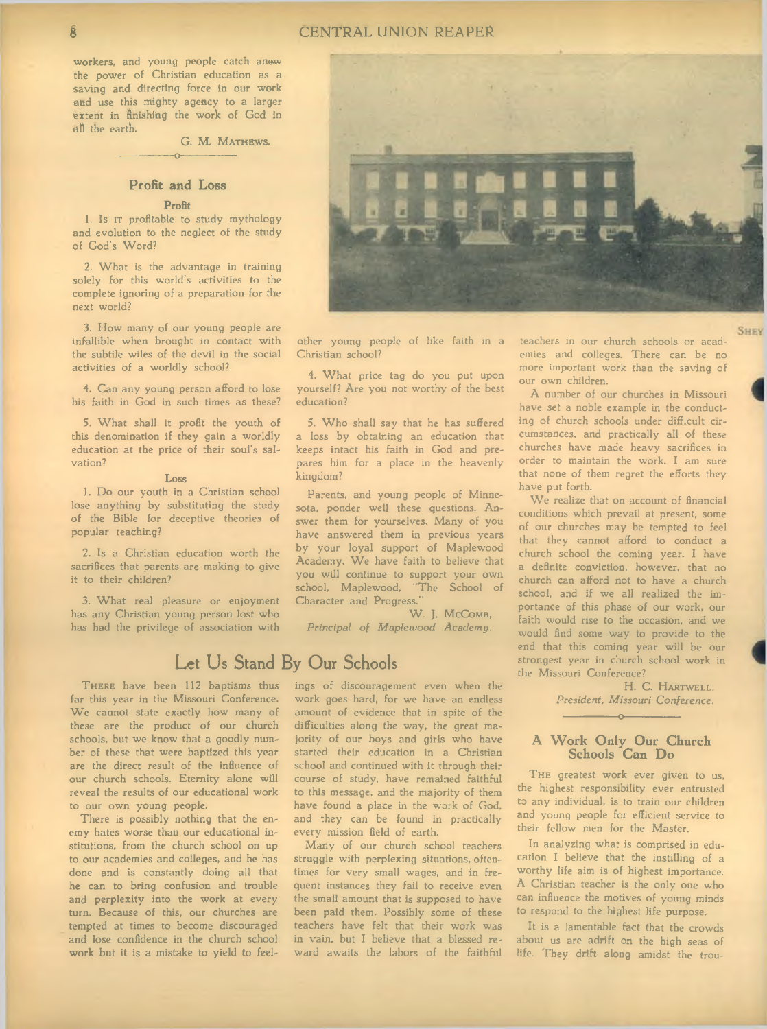workers, and young people catch anew the power of Christian education as a saving and directing force in our work and use this mighty agency to a larger extent in finishing the work of God in all the earth,

G. M. MATHEWS.

### **Profit and Loss**

-----------------o

#### **Profit**

1. Is IT profitable to study mythology and evolution to the neglect of the study of God's Word?

2. What is the advantage in training solely for this world's activities to the complete ignoring of a preparation for the next world?

3. How many of our young people are infallible when brought in contact with the subtile wiles of the devil in the social activities of a worldly school?

4. Can any young person afford to lose his faith in God in such times as these?

5. W hat shall it profit the youth of this denomination if they gain a worldly education at the price of their soul's salvation?

#### **Loss**

1. Do our youth in a Christian school lose anything by substituting the study of the Bible for deceptive theories of popular teaching?

2. Is a Christian education worth the sacrifices that parents are making to give it to their children?

3. What real pleasure or enjoyment has any Christian young person lost who has had the privilege of association with



other young people of like faith in a Christian school?

4. What price tag do you put upon yourself? Are you not worthy of the best education?

5. Who shall say that he has suffered a loss by obtaining an education that keeps intact his faith in God and prepares him for a place in the heavenly kingdom?

Parents, and young people of Minnesota, ponder well these questions. Answer them for yourselves. Many of you have answered them in previous years by your loyal support of Maplewood Academy. We have faith to believe that you will continue to support your own school, Maplewood, "The School of Character and Progress."

W. J. McComb, Principal of Maplewood Academy.

### **Let Us Stand By Our Schools**

THERE have been 112 baptisms thus far this year in the Missouri Conference. We cannot state exactly how many of these are the product of our church schools, but we know that a goodly number of these that were baptized this year are the direct result of the influence of our church schools. Eternity alone will reveal the results of our educational work to our own young people.

There is possibly nothing that the enemy hates worse than our educational institutions, from the church school on up to our academies and colleges, and he has done and is constantly doing all that he can to bring confusion and trouble and perplexity into the work at every turn. Because of this, our churches are tempted at times to become discouraged and lose confidence in the church school work but it is a mistake to yield to feelings of discouragement even when the work goes hard, for we have an endless amount of evidence that in spite of the difficulties along the way, the great majority of our boys and girls who have started their education in a Christian school and continued with it through their course of study, have remained faithful to this message, and the majority of them have found a place in the work of God, and they can be found in practically every mission field of earth.

Many of our church school teachers struggle with perplexing situations, oftentimes for very small wages, and in frequent instances they fail to receive even the small amount that is supposed to have been paid them. Possibly some of these teachers have felt that their work was in vain, but I believe that a blessed reward awaits the labors of the faithful

teachers in our church schools or academies and colleges. There can be no more important work than the saving of our own children.

A number of our churches in Missouri have set a noble example in the conducting of church schools under difficult circumstances, and practically all of these churches have made heavy sacrifices in order to maintain the work. I am sure that none of them regret the efforts they have put forth.

We realize that on account of financial conditions which prevail at present, some of our churches may be tempted to feel that they cannot afford to conduct a church school the coming year. I have a definite conviction, however, that no church can afford not to have a church school, and if we all realized the importance of this phase of our work, our faith would rise to the occasion, and we would find some way to provide to the end that this coming year will be our strongest year in church school work in the Missouri Conference?

> H. C. HARTWELL, *President, M issouri C onference.*

### **A Work Only Our Church Schools Can Do**

-----------------o-----------------

THE greatest work ever given to us, the highest responsibility ever entrusted to any individual, is to train our children and young people for efficient service to their fellow men for the Master.

In analyzing what is comprised in education I believe that the instilling of a worthy life aim is of highest importance. A Christian teacher is the only one who can influence the motives of young minds to respond to the highest life purpose.

It is a lamentable fact that the crowds about us are adrift on the high seas of life. They drift along amidst the trou-

**SHEV**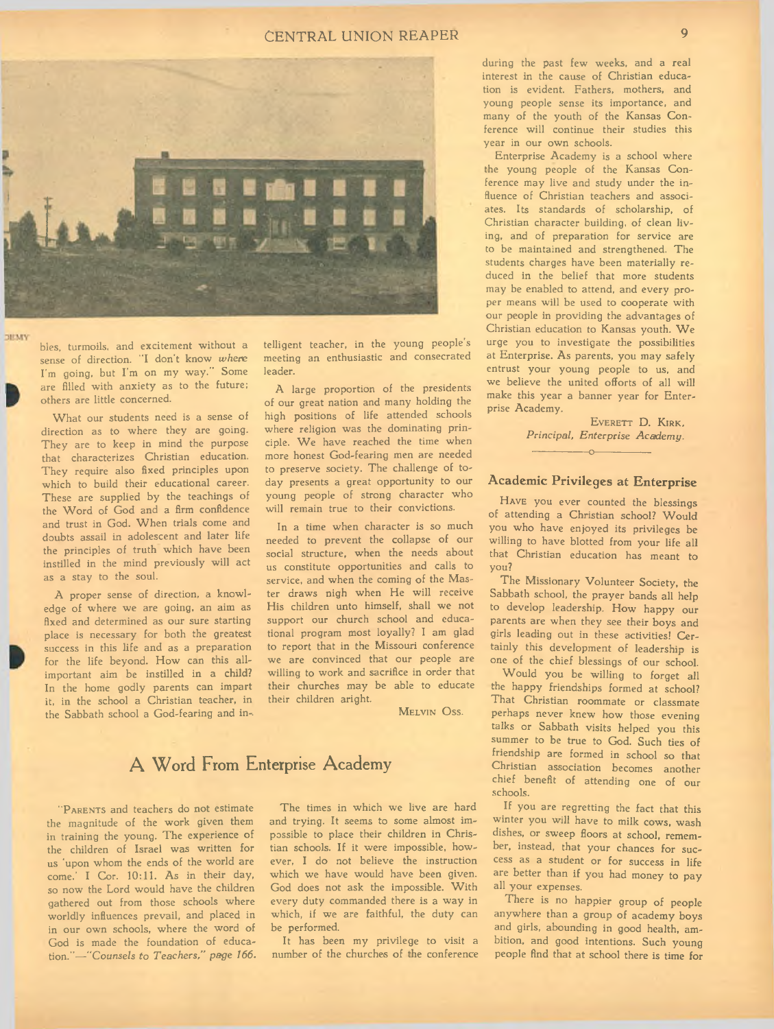### CENTRAL UNION REAPER **EXECUTE 19**



bles, turmoils, and excitement without a sense of direction. "I don't know where I'm going, but I'm on my way." Some are filled with anxiety as to the future; others are little concerned.

**DEMY** 

What our students need is a sense of direction as to where they are going. They are to keep in mind the purpose that characterizes Christian education. They require also fixed principles upon which to build their educational career. These are supplied by the teachings of the Word of God and a firm confidence and trust in God. When trials come and doubts assail in adolescent and later life the principles of truth which have been instilled in the mind previously will act as a stay to the soul.

A proper sense of direction, a knowledge of where we are going, an aim as fixed and determined as our sure starting place is necessary for both the greatest success in this life and as a preparation for the life beyond. How can this allimportant aim be instilled in a child? In the home godly parents can impart it, in the school a Christian teacher, in the Sabbath school a God-fearing and in-. telligent teacher, in the young people's meeting an enthusiastic and consecrated leader.

A large proportion of the presidents of our great nation and many holding the high positions of life attended schools where religion was the dominating principle. We have reached the time when more honest God-fearing men are needed to preserve society. The challenge of today presents a great opportunity to our young people of strong character who will remain true to their convictions.

In a time when character is so much needed to prevent the collapse of our social structure, when the needs about us constitute opportunities and calls to service, and when the coming of the Master draws nigh when He will receive His children unto himself, shall we not support our church school and educational program most loyally? I am glad to report that in the Missouri conference we are convinced that our people are willing to work and sacrifice in order that their churches may be able to educate their children aright.

MELVIN OSS.

### **A W ord From Enterprise Academy**

"PARENTS and teachers do not estimate the magnitude of the work given them in training the young. The experience of the children of Israel was written for us 'upon whom the ends of the world are come.' I Cor. 10:11. As in their day, so now the Lord would have the children gathered out from those schools where worldly influences prevail, and placed in in our own schools, where the word of God is made the foundation of education."-"Counsels to Teachers," page 166.

The times in which we live are hard and trying. It seems to some almost impossible to place their children in Christian schools. If it were impossible, however, I do not believe the instruction which we have would have been given. God does not ask the impossible. With every duty commanded there is a way in which, if we are faithful, the duty can be performed.

It has been my privilege to visit a number of the churches of the conference

during the past few weeks, and a real interest in the cause of Christian education is evident. Fathers, mothers, and young people sense its importance, and many of the youth of the Kansas Conference will continue their studies this year in our own schools.

Enterprise Academy is a school where the young people of the Kansas Conference may live and study under the influence of Christian teachers and associates. Its standards of scholarship, of Christian character building, of clean living, and of preparation for service are to be maintained and strengthened. The students charges have been materially reduced in the belief that more students may be enabled to attend, and every proper means will be used to cooperate with our people in providing the advantages of Christian education to Kansas youth. We urge you to investigate the possibilities at Enterprise. As parents, you may safely entrust your young people to us, and we believe the united offorts of all will make this year a banner year for Enterprise Academy.

> EVERETT D. KIRK, Principal, Enterprise Academy.

### **Academic Privileges at Enterprise**

----------------- o-----------------

HAVE you ever counted the blessings of attending a Christian school? Would you who have enjoyed its privileges be willing to have blotted from your life all that Christian education has meant to you?

The Missionary Volunteer Society, the Sabbath school, the prayer bands all help to develop leadership. How happy our parents are when they see their boys and girls leading out in these activities! Certainly this development of leadership is one of the chief blessings of our school.

Would you be willing to forget all the happy friendships formed at school? That Christian roommate or classmate perhaps never knew how those evening talks or Sabbath visits helped you this summer to be true to God. Such ties of friendship are formed in school so that Christian association becomes another chief benefit of attending one of our schools.

If you are regretting the fact that this winter you will have to milk cows, wash dishes, or sweep floors at school, remember, instead, that your chances for success as a student or for success in life are better than if you had money to pay all your expenses.

There is no happier group of people anywhere than a group of academy boys and girls, abounding in good health, ambition, and good intentions. Such young people find that at school there is time for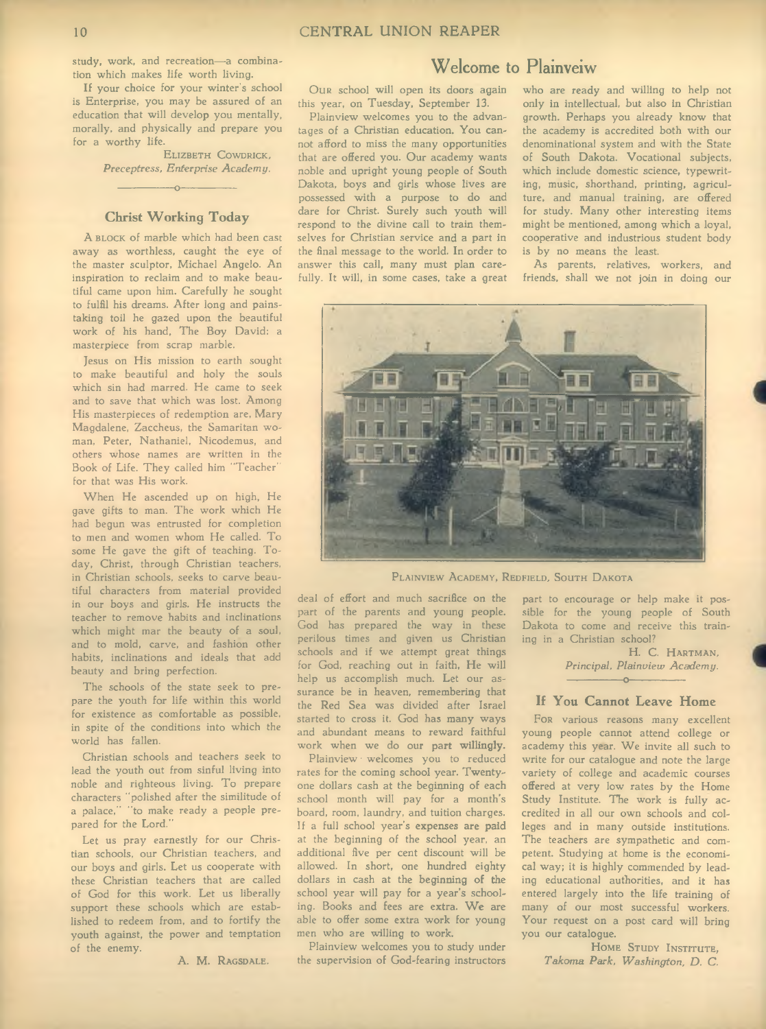**Welcome to Plainveiw** study, work, and recreation— a combination which makes life worth living.

If your choice for your winter's school is Enterprise, you may be assured of an education that will develop you mentally, morally, and physically and prepare you for a worthy life.

> ELIZBETH COWDRICK, *P receptress, E nterprise A cadem y.*

### **Christ Working Today**

----------------- o-----------------

A BLOCK of marble which had been cast away as worthless, caught the eye of the master sculptor, Michael Angelo. An inspiration to reclaim and to make beautiful came upon him. Carefully he sought to fulfil his dreams. After long and painstaking toil he gazed upon the beautiful work of his hand, The Boy David; a masterpiece from scrap marble.

Jesus on His mission to earth sought to make beautiful and holy the souls which sin had marred. He came to seek and to save that which was lost. Among His masterpieces of redemption are, Mary Magdalene, Zaccheus, the Samaritan woman, Peter, Nathaniel, Nicodemus, and others whose names are written in the Book of Life. They called him "Teacher" for that was His work.

When He ascended up on high, He gave gifts to man. The work which He had begun was entrusted for completion to men and women whom He called. To some He gave the gift of teaching. Today, Christ, through Christian teachers, in Christian schools, seeks to carve beautiful characters from material provided in our boys and girls. He instructs the teacher to remove habits and inclinations which might mar the beauty of a soul, and to mold, carve, and fashion other habits, inclinations and ideals that add beauty and bring perfection.

The schools of the state seek to prepare the youth for life within this world for existence as comfortable as possible, in spite of the conditions into which the world has fallen.

Christian schools and teachers seek to lead the youth out from sinful living into noble and righteous living. To prepare characters "polished after the similitude of a palace," "to make ready a people prepared for the Lord."

Let us pray earnestly for our Christian schools, our Christian teachers, and our boys and girls. Let us cooperate with these Christian teachers that are called of God for this work. Let us liberally support these schools which are established to redeem from, and to fortify the youth against, the power and temptation of the enemy.

A. M. RAGSDALE.

Our school will open its doors again this year, on Tuesday, September 13.

Plainview welcomes you to the advantages of a Christian education. You cannot afford to miss the many opportunities that are offered you. Our academy wants noble and upright young people of South Dakota, boys and girls whose lives are possessed with a purpose to do and dare for Christ. Surely such youth will respond to the divine call to train themselves for Christian service and a part in the final message to the world. In order to answer this call, many must plan carefully. It will, in some cases, take a great

who are ready and willing to help not only in intellectual, but also in Christian growth. Perhaps you already know that the academy is accredited both with our denominational system and with the State of South Dakota. Vocational subjects, which include domestic science, typewriting, music, shorthand, printing, agriculture, and manual training, are offered for study. Many other interesting items might be mentioned, among which a loyal, cooperative and industrious student body is by no means the least.

As parents, relatives, workers, and friends, shall we not join in doing our



PLAINVIEW ACADEMY, REDFIELD, SOUTH DAKOTA

deal of effort and much sacrifice on the part of the parents and young **people.** God has prepared the way in these perilous times and given us **Christian** schools and if we attempt great things for God, reaching out in faith, He will help us accomplish much. Let our assurance be in heaven, remembering **that** the Red Sea was divided after Israel started to cross it. God has many ways and abundant means to reward faithful work when we do our **part willingly.**

Plainview · welcomes you to reduced rates for the coming school year. Twentyone dollars cash at the beginning of **each** school month will pay for a month's board, room, laundry, and tuition charges. If a full school year's expenses **are paid** at the beginning of the school year, an additional five per cent discount will be allowed. In short, one hundred eighty dollars in cash at the beginning **of the** school year will pay for a year's schooling. Books and fees are extra. We are able to offer some extra **work** for young men who are willing to **work.**

Plainview welcomes you to study under the supervision of God-fearing instructors

part to encourage or help make it possible for the young people of South Dakota to come and receive this training in a Christian school?

H. C. HARTMAN, Principal, Plainview Academy.

### $-0-$ **If You Cannot Leave Home**

For various reasons many excellent young people cannot attend college or academy this year. We invite all such to write for our catalogue and note the large variety of college and academic courses offered at very low rates by the Home Study Institute. The work is fully accredited in all our own schools and colleges and in many outside institutions. The teachers are sympathetic and competent. Studying at home is the economical way; it is highly commended by leading educational authorities, and it has entered largely into the life training of many of our most successful workers. Your request on a post card will bring you our catalogue.

HOME STUDY INSTITUTE, *T ahom a P ark, W ashington, D. C.*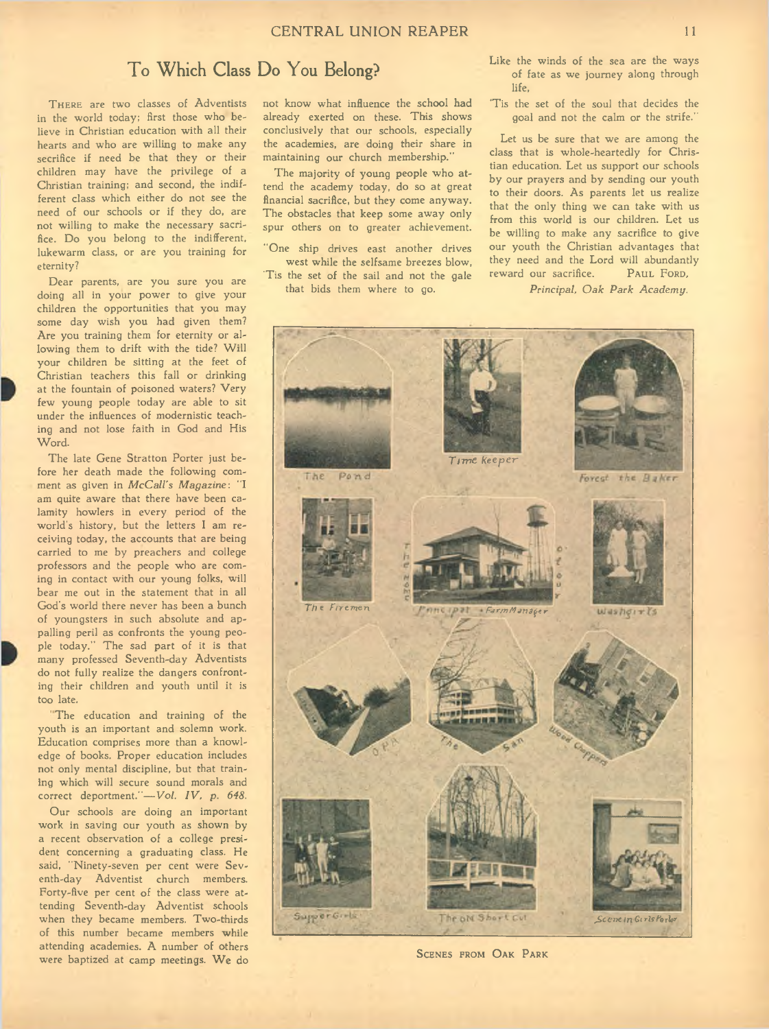### **T o W hich Class Do You Belong?**

THERE are two classes of Adventists in the world today; first those who believe in Christian education with all their hearts and who are willing to make any secrifice if need be that they or their children may have the privilege of a Christian training; and second, the indifferent class which either do not see the need of our schools or if they do, are not willing to make the necessary sacrifice. Do you belong to the indifferent, lukewarm class, or are you training for eternity?

Dear parents, are you sure you are doing all in your power to give your children the opportunities that you may some day wish you had given them? Are you training them for eternity or allowing them to drift with the tide? Will your children be sitting at the feet of Christian teachers this fall or drinking at the fountain of poisoned waters? Very few young people today are able to sit under the influences of modernistic teaching and not lose faith in God and His Word.

The late Gene Stratton Porter just before her death made the following comment as given in *McCall's Magazine*: "I am quite aware that there have been calamity howlers in every period of the world's history, but the letters I am receiving today, the accounts that are being carried to me by preachers and college professors and the people who are coming in contact with our young folks, will bear me out in the statement that in all God's world there never has been a bunch of youngsters in such absolute and appalling peril as confronts the young people today." The sad part of it is that many professed Seventh-day Adventists do not fully realize the dangers confronting their children and youth until it is too late.

The education and training of the youth is an important and solemn work. Education comprises more than a knowledge of books. Proper education includes not only mental discipline, but that training which will secure sound morals and correct deportment."-Vol. IV, p. 648.

Our schools are doing an important work in saving our youth as shown by a recent observation of a college president concerning a graduating class. He said, "Ninety-seven per cent were Seventh-day Adventist church members. Forty-five per cent of the class were attending Seventh-day Adventist schools when they became members. Two-thirds of this number became members while attending academies. A number of others were baptized at camp meetings. We do

not know what influence the school had already exerted on these. This shows conclusively that our schools, especially the academies, are doing their share in maintaining our church membership."

The majority of young people who attend the academy today, do so at great financial sacrifice, but they come anyway. The obstacles that keep some away only spur others on to greater achievement.

"One ship drives east another drives west while the selfsame breezes blow. 'Tis the set of the sail and not the gale

that bids them where to go.

Like the winds of the sea are the ways of fate as we journey along through life,

'T is the set of the soul that decides the goal and not the calm or the strife."

Let us be sure that we are among the class that is whole-heartedly for Christian education. Let us support our schools by our prayers and by sending our youth to their doors. As parents let us realize that the only thing we can take with us from this world is our children. Let us be willing to make any sacrifice to give our youth the Christian advantages that they need and the Lord will abundantly<br>reward our sacrifice. PAUL FORD. reward our sacrifice.

*Principal, Oak Park Academu.* 



SCENES FROM OAK PARK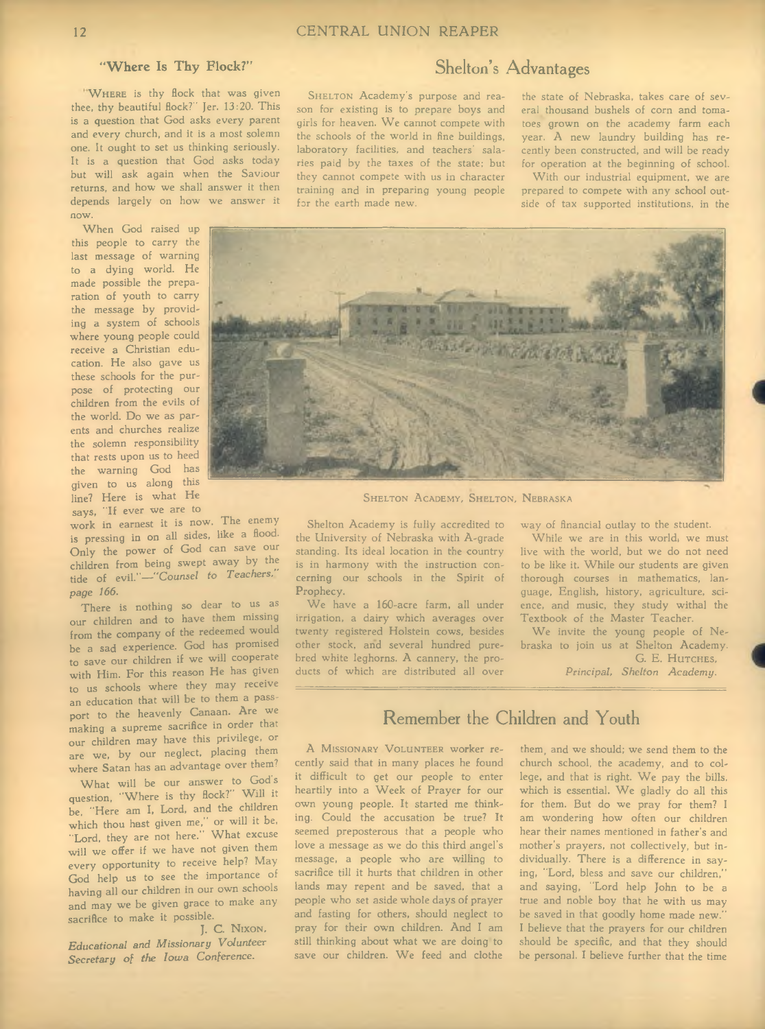"WHERE is thy flock that was given thee, thy beautiful flock?" Jer. 13:20. This is a question that God asks every parent and every church, and it is a most solemn one. It ought to set us thinking seriously. It is a question that God asks today but will ask again when the Saviour returns, and how we shall answer it then depends largely on how we answer it now.

When God raised up this people to carry the last message of warning to a dying world. He made possible the preparation of youth to carry the message by providing a system of schools where young people could receive a Christian education. He also gave us these schools for the purpose of protecting our children from the evils of the world. Do we as parents and churches realize the solemn responsibility that rests upon us to heed the warning God has given to us along this line? Here is what He says, "If ever we are to

work in earnest it is now. The enemy is pressing in on all sides, like a flood. Only the power of God can save our children from being swept away by the tide of evil."-"Counsel to Teachers." *page 166.* 

There is nothing so dear to us as our children and to have them missing from the company of the redeemed would be a sad experience. God has promised to save our children if we will cooperate with Him. For this reason He has given to us schools where they may receive an education that will be to them a passport to the heavenly Canaan. Are we making a supreme sacrifice in order that our children may have this privilege, or are we, by our neglect, placing them where Satan has an advantage over them?

What will be our answer to God's question, "Where is thy flock?" Will it be, "Here am I, Lord, and the children which thou hast given me," or will it be, "Lord, they are not here." What excuse will we offer if we have not given them every opportunity to receive help? May God help us to see the importance of having all our children in our own schools and may we be given grace to make any sacrifice to make it possible.

J. C. NIXON, *E ducational and M issionary V olunteer* Secretary of the Iowa Conference.

### **"W here Is Thy Flock?" Shelton's Advantages**

SHELTON Academy's purpose and reason for existing is to prepare boys and girls for heaven. We cannot compete with the schools of the world in fine buildings, laboratory facilities, and teachers' salaries paid by the taxes of the state; but they cannot compete with us in character training and in preparing young people for the earth made new.

### the state of Nebraska, takes care of several thousand bushels of corn and tomatoes grown on the academy farm each year. A new laundry building has recently been constructed, and will be ready for operation at the beginning of school.

With our industrial equipment, we are prepared to compete with any school outside of tax supported institutions, in the



SHELTON A CADEMY, SHELTON, NEBRASKA

Shelton Academy is fully accredited to the University of Nebraska with A-grade standing. Its ideal location in the country is in harmony with the instruction concerning our schools in the Spirit of Prophecy.

We have a 160-acre farm, all under irrigation, a dairy which averages over twenty registered Holstein cows, besides other stock, and several hundred purebred white leghorns. A cannery, the products of which are distributed all over way of financial outlay to the student.

While we are in this world, we must live with the world, but we do not need to be like it. While our students are given thorough courses in mathematics, language, English, history, agriculture, science, and music, they study withal the Textbook of the Master Teacher.

We invite the young people of Nebraska to join us at Shelton Academy. G. E. HUTCHES,

Principal, Shelton Academy.

### **Remember the Children and Youth**

A MISSIONARY VOLUNTEER worker recently said that in many places he found it difficult to get our people to enter heartily into a Week of Prayer for our own young people. It started me thinking. Could the accusation be true? It seemed preposterous that a people who love a message as we do this third angel's message, a people who are willing to sacrifice till it hurts that children in other lands may repent and be saved, that a people who set aside whole days of prayer and fasting for others, should neglect to pray for their own children. And I am still thinking about what we are doing to save our children. We feed and clothe

them, and we should; we send them to the church school, the academy, and to college, and that is right. We pay the bills, which is essential. We gladly do all this for them. But do we pray for them? I am wondering how often our children hear their names mentioned in father's and mother's prayers, not collectively, but individually. There is a difference in saying, "Lord, bless and save our children," and saying, "Lord help John to be a true and noble boy that he with us may be saved in that goodly home made new. I believe that the prayers for our children should be specific, and that they should be personal. I believe further that the time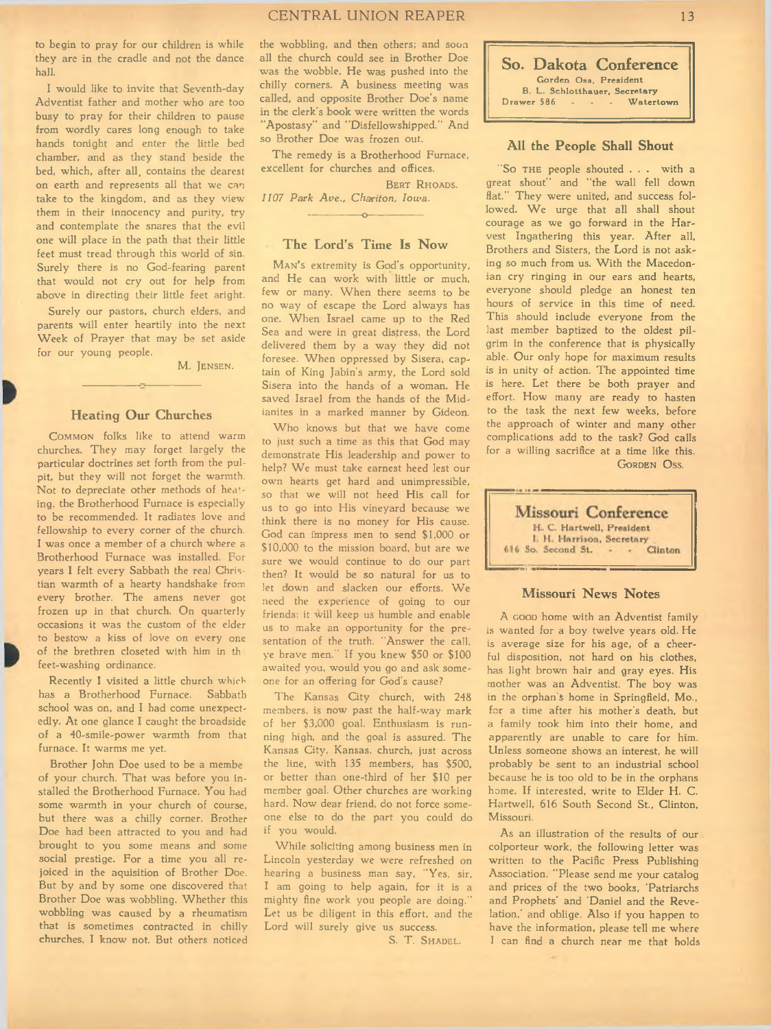### CENTRAL UNION REAPER 13

to begin to pray for our children is while they are in the cradle and not the dance hall.

I would like to invite that Seventh-day Adventist father and mother who are too busy to pray for their children to pause from wordly cares long enough to take hands tonight and enter the little bed chamber, and as they stand beside the bed, which, after all, contains the dearest on earth and represents all that we can take to the kingdom, and as they view them in their innocency and purity, try and contemplate the snares that the evil one will place in the path that their little feet must tread through this world of sin. Surely there is no God-fearing parent that would not cry out for help from above in directing their little feet aright.

Surely our pastors, church elders, and parents will enter heartily into the next Week of Prayer that may be set aside for our young people.

M. JENSEN.

### **Heating Our Churches**

COMMON folks like to attend warm churches. They may forget largely the particular doctrines set forth from the pulpit, but they will not forget the warmth. Not to depreciate other methods of heating, the Brotherhood Furnace is especially to be recommended. It radiates love and fellowship to every corner of the church. I was once a member of a church where a Brotherhood Furnace was installed. For years I felt every Sabbath the real Christian warmth of a hearty handshake from every brother. The amens never got frozen up in that church. On quarterly occasions it was the custom of the elder to bestow a kiss of love on every one of the brethren closeted with him in th feet-washing ordinance.

Recently I visited a little church which has a Brotherhood Furnace. Sabbath school was on, and I had come unexpectedly. At one glance I caught the broadside of a 40-smile-power warmth from that furnace. It warms me yet.

Brother John Doe used to be a membe of your church. That was before you installed the Brotherhood Furnace. You had some warmth in your church of course, but there was a chilly corner. Brother Doe had been attracted to you and had brought to you some means and some social prestige. For a time you all rejoiced in the aquisition of Brother Doe. But by and by some one discovered that Brother Doe was wobbling. W hether this wobbling was caused by a rheumatism that is sometimes contracted in chilly churches, I know not. But others noticed

the wobbling, and then others; and soon all the church could see in Brother Doe was the wobble. He was pushed into the chilly corners. A business meeting was called, and opposite Brother Doe's name in the clerk's book were written the words "Apostasy" and ''Disfellowshipped.'' And so Brother Doe was frozen out.

The remedy is a Brotherhood Furnace, excellent for churches and offices.

BERT RHOADS.

1107 Park Ave., Chariton, Iowa. ---------------- o-----------------

### **The Lord's Time Is Now**

MAN's extremity is God's opportunity, and He can work with little or much, few or many. When there seems to be no way of escape the Lord always has one. W hen Israel came up to the Red Sea and were in great distress, the Lord delivered them by a way they did not foresee. When oppressed by Sisera, captain of King Jabin's army, the Lord sold Sisera into the hands of a woman. He saved Israel from the hands of the Midianites in a marked manner by Gideon.

Who knows but that we have come to just such a time as this that God may demonstrate His leadership and power to help? We must take earnest heed lest our own hearts get hard and unimpressible, so that we will not heed His call for us to go into His vineyard because we think there is no money for His cause. God can impress men to send \$1,000 or \$10,000 to the mission board, but are we sure we would continue to do our part then? It would be so natural for us to let down and slacken our efforts. We need the experience of going to our friends; it will keep us humble and enable us to make an opportunity for the presentation of the truth. "Answer the call, ye brave men." If you knew \$50 or \$100 awaited you, would you go and ask someone for an offering for God's cause?

The Kansas City church, with 248 members, is now past the half-way mark of her \$3,000 goal. Enthusiasm is running high, and the goal is assured. The Kansas City, Kansas, church, just across the line, with 135 members, has \$500, or better than one-third of her \$10 per member goal. Other churches are working hard. Now dear friend, do not force someone else to do the part you could do if you would.

While soliciting among business men in Lincoln yesterday we were refreshed on hearing a business man say, "Yes, sir, I am going to help again, for it is a mighty fine work you people are doing." Let us be diligent in this effort, and the Lord will surely give us success.

S. T. SHADEL.

**So. Dakota Conference** Gorden Oss, President B . L . S ch lo tth a u e r, S e c re ta ry Watertown

### **All the People Shall Shout**

"So THE people shouted . . . with a great shout" and "the wall fell down flat." They were united, and success followed. We urge that all shall shout courage as we go forward in the Harvest Ingathering this year. After all, Brothers and Sisters, the Lord is not asking so much from us. With the Macedonian cry ringing in our ears and hearts, everyone should pledge an honest ten hours of service in this time of need. This should include everyone from the last member baptized to the oldest pilgrim in the conference that is physically able. Our only hope for maximum results is in unity of action. The appointed time is here. Let there be both prayer and effort. How many are ready to hasten to the task the next few weeks, before the approach of winter and many other complications add to the task? God calls for a willing sacrifice at a time like this. GORDEN OSS.



#### **Missouri News Notes**

A GOOD home with an Adventist family is wanted for a boy twelve years old. He is average size for his age, of a cheerful disposition, not hard on his clothes, has light brown hair and gray eyes. His mother was an Adventist. The boy was in the orphan's home in Springfield, Mo., for a time after his mother's death, but a family took him into their home, and apparently are unable to care for him. Unless someone shows an interest, he will probably be sent to an industrial school because he is too old to be in the orphans home. If interested, write to Elder H. C. Hartwell, 616 South Second St., Clinton, Missouri.

As an illustration of the results of our colporteur work, the following letter was written to the Pacific Press Publishing Association. "Please send me your catalog and prices of the two books, 'Patriarchs and Prophets' and 'Daniel and the Revelation,' and oblige. Also if you happen to have the information, please tell me where I can find a church near me that holds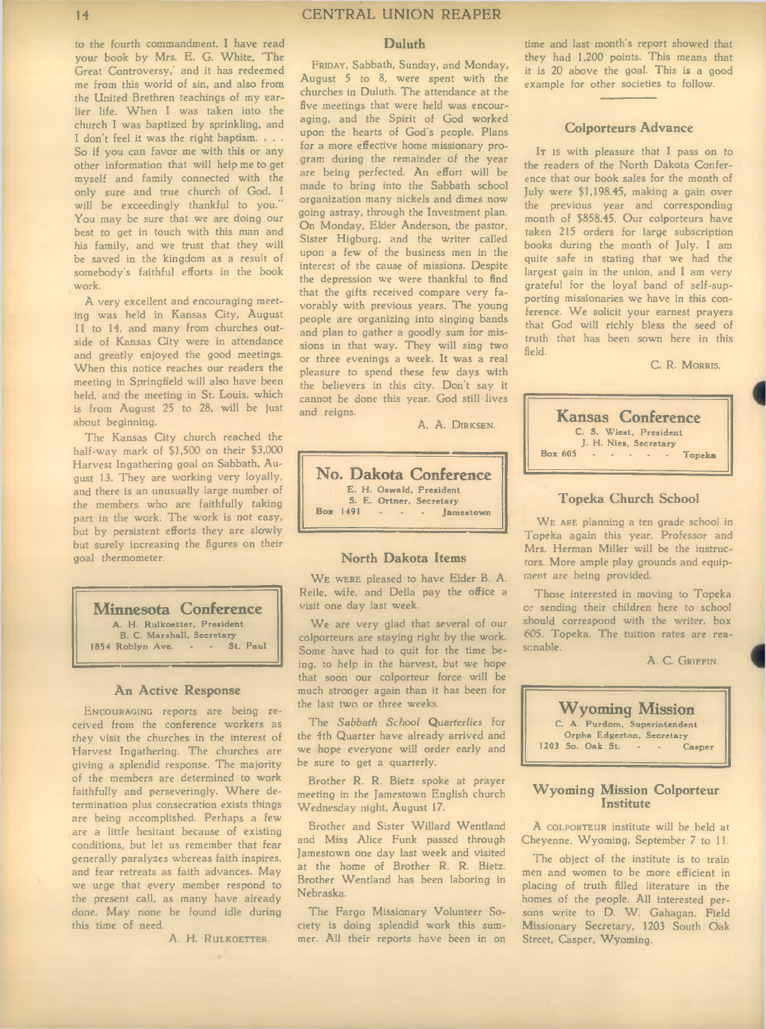work.

about beginning.

goal thermometer.

to the fourth commandment. I have read

14 CENTRAL UNION REAPER

#### **Duluth**

your book by Mrs. E. G. White, 'The Great Controversy,' and it has redeemed me from this world of sin, and also from the United Brethren teachings of my earlier life. W hen I was taken into the church I was baptized by sprinkling, and I don't feel it was the right baptism. . . . So if you can favor me with this or any other information that will help me to get myself and family connected with the only sure and true church of God, I will be exceedingly thankful to you.'' You may be sure that we are doing our best to get in touch with this man and his family, and we trust that they will be saved in the kingdom as a result of somebody's faithful efforts in the book A very excellent and encouraging meeting was held in Kansas City, August II to 14, and many from churches outside of Kansas City were in attendance and greatly enjoyed the good meetings. When this notice reaches our readers the meeting in Springfield will also have been held, and the meeting in St. Louis, which is from August 25 to 28, will be just FRIDAY, Sabbath, Sunday, and Monday, August 5 to 8, were spent with the churches in Duluth. The attendance at the five meetings that were held was encouraging, and the Spirit of God worked upon the hearts of God's people. Plans for a more effective home missionary program during the remainder of the year are being perfected. An effort will be made to bring into the Sabbath school organization many nickels and dimes now going astray, through the Investment plan. On Monday, Elder Anderson, the pastor, Sister Higburg, and the writer called upon a few of the business men in the interest of the cause of missions. Despite the depression we were thankful to find that the gifts received compare very favorably with previous years. The young people are organizing into singing bands and plan to gather a goodly sum for missions in that way. They will sing two or three evenings a week. It was a real pleasure to spend these few days with the believers in this city. Don't say it cannot be done this year. God still lives and reigns.

A. A. DIRKSEN.

**No. Dakota Conference** E. H. Oswald, President S. E. Ortner, Secretary<br>Box 1491 - - - Jamestown

#### **North Dakota Items**

WE WERE pleased to have Elder B. A. Reile, wife, and Della pay the office a visit one day last week.

We are very glad that several of our colporteurs are staying right by the work. Some have had to quit for the time being, to help in the harvest, but we hope that soon our colporteur force will be much stronger again than it has been for the last two or three weeks.

The Sabbath School Quarterlies for the 4th Quarter have already arrived and we hope everyone will order early and be sure to get a quarterly.

Brother R. R. Bietz spoke at prayer meeting in the Jamestown English church Wednesday night, August 17.

Brother and Sister Willard Wentland and Miss Alice Funk passed through Jamestown one day last week and visited at the home of Brother R. R. Bietz. Brother Wentland has been laboring in Nebraska.

The Fargo Missionary Volunteer Society is doing splendid work this summer. All their reports have been in on time and last month's report showed that they had 1,200 points. This means that it is 20 above the goal. This is a good example for other societies to follow.

### **Colporteurs Advance**

IT is with pleasure that I pass on to the readers of the North Dakota Conference that our book sales for the month of July were \$1,198.45, making a gain over the previous year and corresponding month of \$858.45. Our colporteurs have taken 215 orders for large subscription books during the month of July. I am quite safe in stating that we had the largest gain in the union, and I am very grateful for the loyal band of self-supporting missionaries we have in this conference. We solicit your earnest prayers that God will richly bless the seed of truth that has been sown here in this field.

C. R. MORRIS.



#### **Topeka Church School**

WE ARE planning a ten grade school in Topeka again this year. Professor and Mrs. Herman Miller will be the instructors. More ample play grounds and equipment are being provided.

Those interested in moving to Topeka or sending their children here to school should correspond with the writer, box 605. Topeka. The tuition rates are reasonable.

A. C. GRIFFIN.



#### **Wyoming Mission Colporteur Institute**

A COLPORTEUR institute will be held at Cheyenne, Wyoming, September 7 to 11.

The object of the institute is to train men and women to be more efficient in placing of truth filled literature in the homes of the people. All interested persons write to D. W. Gahagan, Field Missionary Secretary, 1203 South Oak Street, Casper, Wyoming.

**Minnesota Conference** A. H. Rulkoetter, President B. C. Marshall, Secretary<br>Roblyn Ave. . . . St. Paul 1854 Roblyn Ave. -

The Kansas City church reached the half-way mark of \$1,500 on their \$3,000 Harvest Ingathering goal on Sabbath, August 13. They are working very loyally, and there is an unusually large number of the members who are faithfully taking part in the work. The work is not easy, but by persistent efforts they are slowly but surely increasing the figures on their

### **An Active Response**

ENCOURAGING reports are being received from the conference workers as they visit the churches in the interest of Harvest Ingathering. The churches are giving a splendid response. The majority of the members are determined to work faithfully and perseveringly. Where determination plus consecration exists things are being accomplished. Perhaps a few are a little hesitant because of existing conditions, but let us remember that fear generally paralyzes whereas faith inspires, and fear retreats as faith advances. May we urge that every member respond to the present call, as many have already done. May none be found idle during this time of need.

A. H. RULKOETTER.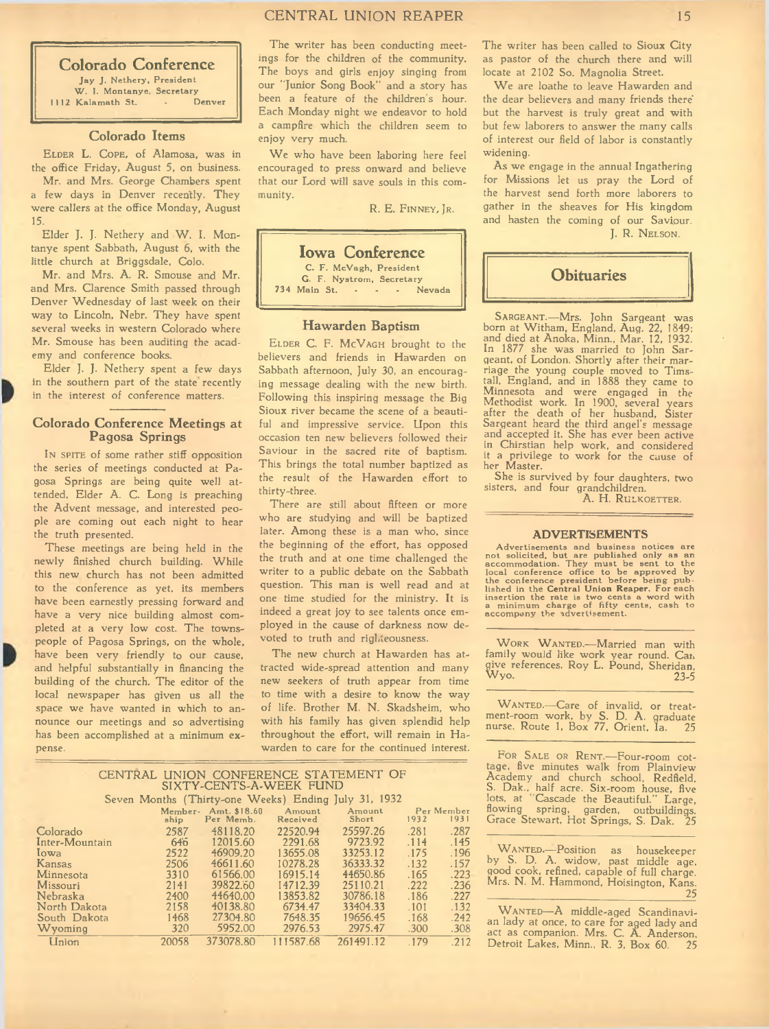### **Colorado Conference** Jay J. Nethery, President W. I. Montanye, Secretary<br>Kalamath St. . Denver

1112 Kalamath St.

### **Colorado Items**

ELDER L. COPE, of Alamosa, was in the office Friday, August 5, on business.

Mr. and Mrs. George Chambers spent a few days in Denver recently. They were callers at the office Monday, August 15.

Elder J. J. Nethery and W. I. Montanye spent Sabbath, August 6, with the little church at Briggsdale, Colo.

Mr. and Mrs. A. R. Smouse and Mr. and Mrs. Clarence Smith passed through Denver Wednesday of last week on their way to Lincoln, Nebr. They have spent several weeks in western Colorado where Mr. Smouse has been auditing the academy and conference books.

Elder J. J. Nethery spent a few days in the southern part of the state recently in the interest of conference matters.

### **Colorado Conference Meetings at Pagosa Springs**

In spire of some rather stiff opposition the series of meetings conducted at Pagosa Springs are being quite well attended, Elder A. C. Long is preaching the Advent message, and interested people are coming out each night to hear the truth presented.

These meetings are being held in the newly finished church building. While this new church has not been admitted to the conference as yet, its members have been earnestly pressing forward and have a very nice building almost completed at a very low cost. The townspeople of Pagosa Springs, on the whole, have been very friendly to our cause, and helpful substantially in financing the building of the church. The editor of the local newspaper has given us all the space we have wanted in which to announce our meetings and so advertising has been accomplished at a minimum expense.

The writer has been conducting meetings for the children of the community. The boys and girls enjoy singing from our "Junior Song Book" and a story has been a feature of the children's hour. Each Monday night we endeavor to hold a campfire which the children seem to enjoy very much.

We who have been laboring here feel encouraged to press onward and believe that our Lord will save souls in this community.

R. E. FINNEY, JR.



#### **Hawarden Baptism**

ELDER C. F. MCVAGH brought to the believers and friends in Hawarden on Sabbath afternoon, July 30, an encouraging message dealing with the new birth. Following this inspiring message the Big Sioux river became the scene of a beautiful and impressive service. Upon this occasion ten new believers followed their Saviour in the sacred rite of baptism. This brings the total number baptized as the result of the Hawarden effort to thirty-three.

There are still about fifteen or more who are studying and will be baptized later. Among these is a man who, since the beginning of the effort, has opposed the truth and at one time challenged the writer to a public debate on the Sabbath question. This man is well read and at one time studied for the ministry. It is indeed a great joy to see talents once employed in the cause of darkness now devoted to truth and righteousness.

The new church at Hawarden has attracted wide-spread attention and many new seekers of truth appear from time to time with a desire to know the way of life. Brother M. N. Skadsheim, who with his family has given splendid help throughout the effort, will remain in  $Ha$ warden to care for the continued interest.

|                  |       | SIXTY-CENTS-A-WEEK FUND           |                    | CENTRAL UNION CONFERENCE STATEMENT OF                |      |                    |
|------------------|-------|-----------------------------------|--------------------|------------------------------------------------------|------|--------------------|
|                  |       |                                   |                    | Seven Months (Thirty-one Weeks) Ending July 31, 1932 |      |                    |
|                  | ship  | Member- Amt. \$18.60<br>Per Memb. | Amount<br>Received | Amount<br>Short                                      | 1932 | Per Member<br>1931 |
| Colorado         | 2587  | 48118.20                          | 22520.94           | 25597.26                                             | .281 | .287               |
| Inter-Mountain   | 646   | 12015.60                          | 2291.68            | 9723.92                                              | .114 | .145               |
| lowa             | 2522  | 46909.20                          | 13655.08           | 33253.12                                             | .175 | .196               |
| Kansas           | 2506  | 46611.60                          | 10278.28           | 36333.32                                             | .132 | .157               |
| <b>Minnesota</b> | 3310  | 61566.00                          | 16915.14           | 44650.86                                             | .165 | .223               |
| Missouri         | 2141  | 39822.50                          | 14712.39           | 25110.21                                             | .222 | .236               |
| Nebraska         | 2400  | 44640.00                          | 13853.82           | 30786.18                                             | .186 | .227               |
| North Dakota     | 2158  | 40138.80                          | 6734.47            | 33404.33                                             | .101 | .132               |
| South Dakota     | 1468  | 27304.80                          | 7648.35            | 19656.45                                             | .168 | .242               |
| Wyoming          | 320   | 5952.00                           | 2976.53            | 2975.47                                              | .300 | .308               |
| <b>Union</b>     | 20058 | 373078.80                         | 111587.68          | 261491.12                                            | .179 | .212               |

The writer has been called to Sioux City as pastor of the church there and will locate at 2102 So. Magnolia Street.

We are loathe to leave Hawarden and the dear believers and many friends there' but the harvest is truly great and with but few laborers to answer the many calls of interest our field of labor is constantly widening.

As we engage in the annual Ingathering for Missions let us pray the Lord of the harvest send forth more laborers to gather in the sheaves for His kingdom and hasten the coming of our Saviour. J. R. NELSON.



SARGEANT.—Mrs. John Sargeant was<br>born at Witham, England, Aug. 22, 1849; and died at Anoka, Minn., Mar. 12, 1932. In 1877 she was married to John Sargeant, of London. Shortly after their marriage the young couple moved to Tims-tall, England, and in 1888 they came to Minnesota and were engaged in the Methodist work. In 1900, several years after the death of her husband, Sister Sargeant heard the third angel's message and accepted it. She has ever been active in Chirstian help work, and considered it a privilege to work for the cause of her Master.

She is survived by four daughters, two sisters, and four grandchildren.

A. H. RULKOETTER.

#### **ADVERTISEMENTS**

Advertisements and business notices are abused only as an not solicited, but are published only as an accommodation. They must be sent to the conference president before being published in the Central Union Reaper. For eac

WORK WANTED.-Married man with family would like work year round. Can give references. Roy L. Pound, Sheridan, W yo. 23-5

WANTED.—Care of invalid, or treat-<br>ment-room work, by S. D. A. graduate nurse. Route 1, Box 77, Orient, la. 25

FOR SALE OR RENT.-Four-room cottage, five minutes walk from Plainview Academy and church school, Redfield, S. Dak., half acre. Six-room house, five lots, at Cascade the Beautiful." Large, flowing spring, garden, outbuildings. Grace Stewart, Hot Springs, S. Dak. 25

WANTED.-Position as housekeeper by S. D. A. widow, past middle age, good cook, refined, capable of full charge. Mrs. N. M. Hammond, Hoisington, Kans.  $\overline{\phantom{a}}$  25

WANTED-A middle-aged Scandinavian lady at once, to care for aged lady and act as companion. Mrs. C. A. Anderson, Detroit Lakes, Minn., R. 3, Box 60. 25